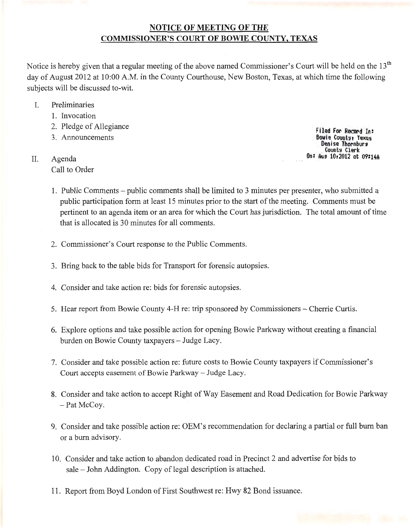# NOTICE OF MEETING OF THE COMMISSIONER'S COURT OF BOWIE COUNTY, TEXAS

Notice is hereby given that a regular meeting of the above named Commissioner's Court will be held on the 13<sup>th</sup> day of August 2012 at 10:00 A.M. in the County Courthouse, New Boston, Texas, at which time the following subjects will be discussed to-wit.

- I. Preliminaries
	- 1. Invocation
	- 2. Pledge of Allegiance
	- 3. Announcements
- II. Agenda Call to Order

Filed For Record In: Bowie County, Texas Denise Thornburs<br>Counts Clerk On: Aug 10r2012 at 09:14A

- 1. Public Comments- public comments shall be limited to 3 minutes per presenter, who submitted a public participation form at least 15 minutes prior to the start of the meeting. Comments must be pertinent to an agenda item or an area for which the Court has jurisdiction. The total amount of time that is allocated is 30 minutes for all comments.
- 2. Commissioner's Court response to the Public Comments.
- 3. Bring back to the table bids for Transport for forensic autopsies.
- 4. Consider and take action re: bids for forensic autopsies.
- 5. Hear report from Bowie County 4-H re: trip sponsored by Commissioners- Cherrie Curtis.
- 6. Explore options and take possible action for opening Bowie Parkway without creating a financial burden on Bowie County taxpayers- Judge Lacy.
- 7. Consider and take possible action re: future costs to Bowie County taxpayers if Commissioner's Court accepts easement of Bowie Parkway- Judge Lacy.
- 8. Consider and take action to accept Right of Way Easement and Road Dedication for Bowie Parkway - Pat McCoy.
- 9. Consider and take possible action re: OEM's recommendation for declaring a partial or full burn ban or a burn advisory.
- 10. Consider and take action to abandon dedicated road in Precinct 2 and advertise for bids to sale- John Addington. Copy of legal description is attached.
- 11. Report from Boyd London of First Southwest re: Hwy 82 Bond issuance.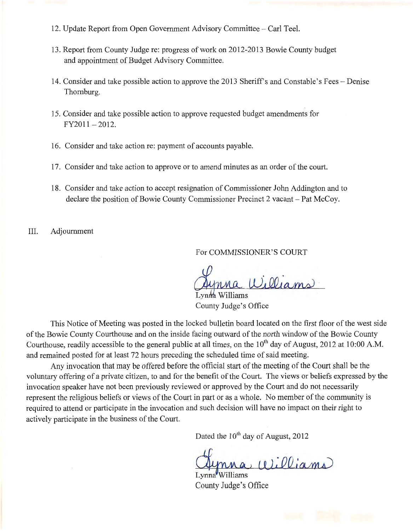- 12. Update Report from Open Government Advisory Committee- Carl Teel.
- 13. Report from County Judge re: progress of work on 2012-2013 Bowie County budget and appointment of Budget Advisory Committee.
- 14. Consider and take possible action to approve the 2013 Sheriff's and Constable's Fees-Denise Thornburg.
- 15. Consider and take possible action to approve requested budget amendments for  $FY2011-2012.$
- 16. Consider and take action re: payment of accounts payable.
- 17. Consider and take action to approve or to amend minutes as an order of the court.
- 18. Consider and take action to accept resignation of Commissioner John Addington and to declare the position of Bowie County Commissioner Precinct 2 vacant- Pat McCoy.
- III. Adjournment

For COMMISSIONER'S COURT

Williams

Lynna Williams County Judge's Office

This Notice of Meeting was posted in the locked bulletin board located on the first floor of the west side of the Bowie County Courthouse and on the inside facing outward of the north window of the Bowie County Courthouse, readily accessible to the general public at all times, on the  $10^{th}$  day of August, 2012 at 10:00 A.M. and remained posted for at least 72 hours preceding the scheduled time of said meeting.

Any invocation that may be offered before the official start of the meeting of the Court shall be the voluntary offering of a private citizen, to and for the benefit of the Court. The views or beliefs expressed by the invocation speaker have not been previously reviewed or approved by the Court and do not necessarily represent the religious beliefs or views of the Court in part or as a whole. No member of the community is required to attend or participate in the invocation and such decision will have no impact on their right to actively participate in the business of the Court.

Dated the  $10^{th}$  day of August, 2012

 $(0)$ illiams

Lynna Williams County Judge's Office

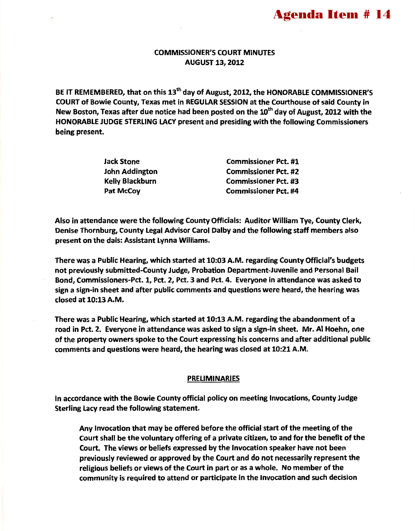## COMMISSIONER'S COURT MINUTES AUGUST 13, 2012

BE IT REMEMBERED, that on this 13<sup>th</sup> day of August, 2012, the HONORABLE COMMISSIONER'S COURT of Bowie County, Texas met in REGULAR SESSION at the Courthouse of said County in New Boston, Texas after due notice had been posted on the 10<sup>th</sup> day of August. 2012 with the HONORABLE JUDGE STERLING LACY present and presiding with the following Commissioners being present.

| Jack Stone      | <b>Commissioner Pct. #1</b> |
|-----------------|-----------------------------|
| John Addington  | <b>Commissioner Pct. #2</b> |
| Kelly Blackburn | <b>Commissioner Pct. #3</b> |
| Pat McCoy       | <b>Commissioner Pct. #4</b> |

Also in attendance were the following County Officials: Auditor William Tye, County Clerk, Denise Thornburg, County Legal Advisor Carol Dalby and the following staff members also present on the dais: Assistant Lynna Williams.

There was a Public Hearing, which started at 10:03 A.M. regarding County Official's budgets not previously submitted-County Judge, Probation Department-Juvenile and Personal Bail Bond, Commissioners-Pet. 1, Pet. 2, Pet. 3 and Pet. 4. Everyone in attendance was asked to sign a sign-in sheet and after public comments and questions were heard, the hearing was closed at 10:13 A.M.

There was a Public Hearing, which started at 10:13 A.M. regarding the abandonment of a road in Pet. 2. Everyone in attendance was asked to sign a sign-in sheet. Mr. AI Hoehn, one of the property owners spoke to the Court expressing his concerns and after additional public comments and questions were heard, the hearing was closed at 10:21 A.M.

## PRELIMINARIES

In accordance with the Bowie County official policy on meeting Invocations, County Judge Sterling lacy read the following statement.

Any Invocation that may be offered before the official start of the meeting of the Court shall be the voluntary offering of a private citizen, to and for the benefit of the Court. The views or beliefs expressed by the Invocation speaker have not been previously reviewed or approved by the Court and do not necessarily represent the religious beliefs or views of the Court in part or as a whole. No member of the community is required to attend or participate in the Invocation and such decision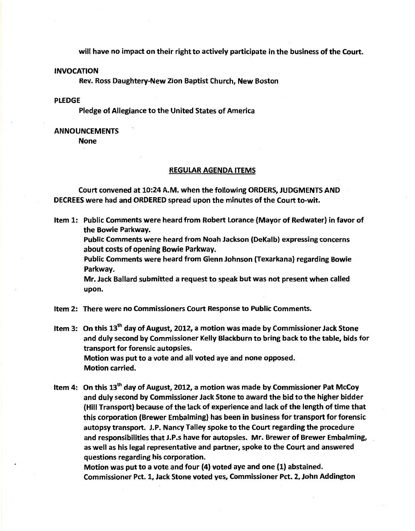will have no impact on their right to actively participate in the business of the Court.

#### INVOCATION

Rev. Ross Daughtery-New Zion Baptist Church, New Boston

## PLEDGE

Pledge of Allegiance to the United States of America

### ANNOUNCEMENTS

None

#### REGULAR AGENDA ITEMS

Court convened at 10:24 A.M. when the following ORDERS, JUDGMENTS AND DECREES were had and ORDERED spread upon the minutes of the Court to-wit.

Item 1: Public Comments were heard from Robert Lorance (Mayor of Redwater) in favor of the Bowie Parkway.

Public Comments were heard from Noah Jackson (DeKalb) expressing concerns about costs of opening Bowie Parkway.

Public Comments were heard from Glenn Johnson (Texarkana) regarding Bowie Parkway.

Mr. Jack Ballard submitted a request to speak but was not present when called upon.

Item 2: There were no Commissioners Court Response to Public Comments.

Item 3: On this 13<sup>th</sup> day of August, 2012, a motion was made by Commissioner Jack Stone and duly second by Commissioner Kelly Blackburn to bring back to the table, bids for transport for forensic autopsies. Motion was put to a vote and all voted aye and none opposed. Motion carried.

Item 4: On this  $13<sup>th</sup>$  day of August, 2012, a motion was made by Commissioner Pat McCoy and duly second by Commissioner Jack Stone to award the bid to the higher bidder (Hill Transport) because of the lack of experience and lack of the length of time that this corporation (Brewer Embalming) has been in business for transport for forensic autopsy transport. J.P. Nancy Talley spoke to the Court regarding the procedure and responsibilities that J.P.s have for autopsies. Mr. Brewer of Brewer Embalming, as well as his legal representative and partner, spoke to the Court and answered questions regarding his corporation.

Motion was put to a vote and four (4) voted aye and one (1) abstained. Commissioner Pet. 1, Jack Stone voted yes, Commissioner Pet. 2, John Addington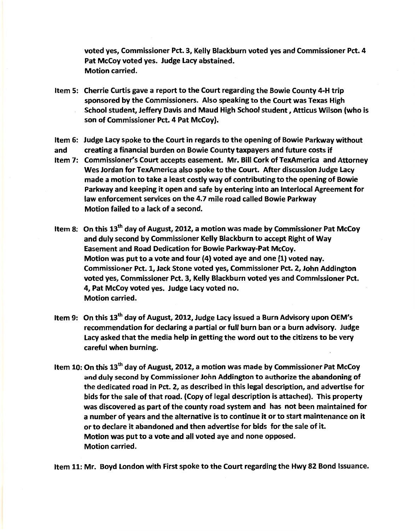voted yes, Commissioner Pet. *3,* Kelly Blackburn voted yes and Commissioner Pet. 4 Pat McCoy voted yes. Judge Lacy abstained. Motion carried.

- Item 5: Cherrie Curtis gave a report to the Court regarding the Bowie County 4-H trip sponsored by the Commissioners. Also speaking to the Court was Texas High School student, Jeffery Davis and Maud High School student, Atticus Wilson (who is son of Commissioner Pct. 4 Pat McCoy).
- Item 6: Judge Lacy spoke to the Court in regards to the opening of Bowie Parkway without
- and creating a financial burden on Bowie County taxpayers and future costs if
- Item 7: Commissioner's Court accepts easement. Mr. Bill Cork of TexAmerica and Attorney Wes Jordan for TexAmerica also spoke to the Court. After discussion Judge Lacy made a motion to take a least costly way of contributing to the opening of Bowie Parkway and keeping it open and safe by entering into an lnterlocal Agreement for law enforcement services on the 4.7 mile road called Bowie Parkway Motion failed to a lack of a second.
- Item 8: On this  $13<sup>th</sup>$  day of August, 2012, a motion was made by Commissioner Pat McCoy and duly second by Commissioner Kelly Blackburn to accept Right of Way Easement and Road Dedication for Bowie Parkway-Pat McCoy. Motion was put to a vote and four (4) voted aye and one (1) voted nay. Commissioner Pet. 1, Jack Stone voted yes, Commissioner Pet. 2, John Addington voted yes, Commissioner Pet. 3, Kelly Blackburn voted yes and Commissioner Pet. *4,* Pat McCoy voted yes. Judge Lacy voted no. Motion carried.
- Item 9: On this  $13<sup>th</sup>$  day of August, 2012, Judge Lacy issued a Burn Advisory upon OEM's recommendation for declaring a partial or full burn ban or a burn advisory. Judge Lacy asked that the media help in getting the word out to the citizens to be very careful when burning.
- Item 10: On this  $13<sup>th</sup>$  day of August, 2012, a motion was made by Commissioner Pat McCoy and duly second by Commissioner John Addington to authorize the abandoning of the dedicated road in Pet. 2, as described in this legal description, and advertise for bids for the sale of that road. (Copy of legal description is attached). This property was discovered as part of the county road system and has not been maintained for a number of years and the alternative is to continue it or to start maintenance on it or to declare it abandoned and then advertise for bids for the sale of it. Motion was put to a vote and all voted aye and none opposed. Motion carried.

Item 11: Mr. Boyd London with First spoke to the Court regarding the Hwy 82 Bond Issuance.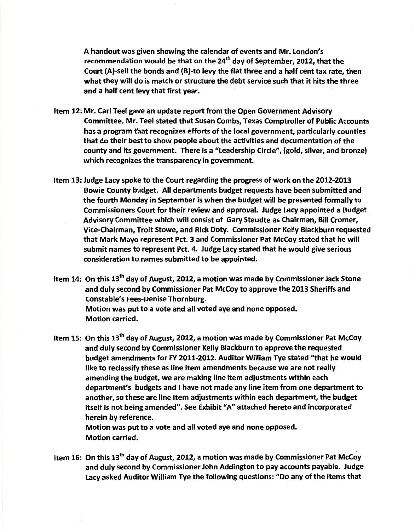A handout was given showing the calendar of events and Mr. London's recommendation would be that on the 24<sup>th</sup> day of September, 2012, that the Court (A)-sell the bonds and (B)-to levy the flat three and a half cent tax rate, then what they will do is match or structure the debt service such that it hits the three and a half cent levy that first year.

- Item 12: Mr. Carl Teel gave an update report from the Open Government Advisory Committee. Mr. Teel stated that Susan Combs, Texas Comptroller of Public Accounts has a program that recognizes efforts of the local government, particularly counties that do their best to show people about the activities and documentation of the county and its government. There is a "Leadership Circle", (gold, silver, and bronze) which recognizes the transparency in government.
- Item 13: Judge Lacy spoke to the Court regarding the progress of work on the 2012-2013 Bowie County budget. All departments budget requests have been submitted and the fourth Monday in September is when the budget will be presented formally to Commissioners Court for their review and approval. Judge Lacy appointed a Budget Advisory Committee which will consist of Gary Steudte as Chairman, Bill Cromer, Vice-Chairman, Troit Stowe, and Rick Doty. Commissioner Kelly Blackburn requested that Mark Mayo represent Pct. 3 and Commissioner Pat McCoy stated that he will submit names to represent Pct. 4. Judge Lacy stated that he would give serious consideration to names submitted to be appointed.
- Item 14: On this  $13<sup>th</sup>$  day of August, 2012, a motion was made by Commissioner Jack Stone and duly second by Commissioner Pat McCoy to approve the 2013 Sheriffs and Constable's Fees-Denise Thornburg. Motion was put to a vote and all voted aye and none opposed. Motion carried.
- Item 15: On this 13<sup>th</sup> day of August, 2012, a motion was made by Commissioner Pat McCoy and duly second by Commissioner Kelly Blackburn to approve the requested budget amendments for FY 2011-2012. Auditor William Tye stated "that he would like to reclassify these as line item amendments because we are not really amending the budget, we are making line item adjustments within each department's budgets and I have not made any line item from one department to another, so these are line item adjustments within each department, the budget itself is not being amended". See Exhibit "A" attached hereto and incorporated herein by reference.

Motion was put to a vote and all voted aye and none opposed. Motion carried.

Item 16: On this  $13<sup>th</sup>$  day of August, 2012, a motion was made by Commissioner Pat McCoy and duly second by Commissioner John Addington to pay accounts payable. Judge Lacy asked Auditor William Tye the following questions: "Do any of the items that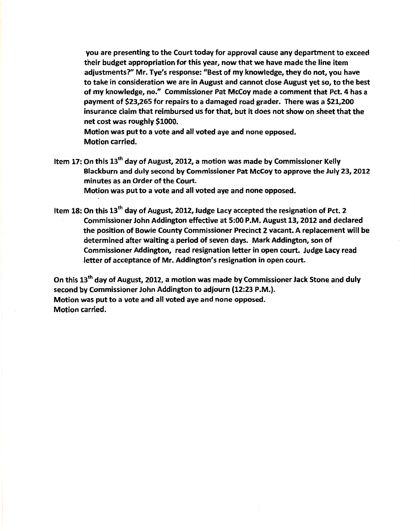you are presenting to the Court today for approval cause any department to exceed their budget appropriation for this year, now that we have made the line item adjustments?" Mr. Tye's response: "Best of my knowledge, they do not, you have to take in consideration we are in August and cannot close August yet so, to the best of my knowledge, no." Commissioner Pat McCoy made a comment that Pet. 4 has a payment of \$23,265 for repairs to a damaged road grader. There was a \$21,200 insurance claim that reimbursed us for that, but it does not show on sheet that the net cost was roughly \$1000.

Motion was put to a vote and all voted aye and none opposed. Motion carried.

- Item 17: On this 13<sup>th</sup> day of August, 2012, a motion was made by Commissioner Kelly Blackburn and duly second by Commissioner Pat McCoy to approve the July 23, 2012 minutes as an Order of the Court. Motion was put to a vote and all voted aye and none opposed.
- Item 18: On this 13<sup>th</sup> day of August, 2012, Judge Lacy accepted the resignation of Pct. 2 Commissioner John Addington effective at 5:00 P.M. August 13, 2012 and declared the position of Bowie County Commissioner Precinct 2 vacant. A replacement will be determined after waiting a period of seven days. Mark Addington, son of Commissioner Addington, read resignation letter in open court. Judge Lacy read letter of acceptance of Mr. Addington's resignation in open court.

On this 13<sup>th</sup> day of August, 2012, a motion was made by Commissioner Jack Stone and duly second by Commissioner John Addington to adjourn (12:23 P.M.). Motion was put to a vote and all voted aye and none opposed. Motion carried.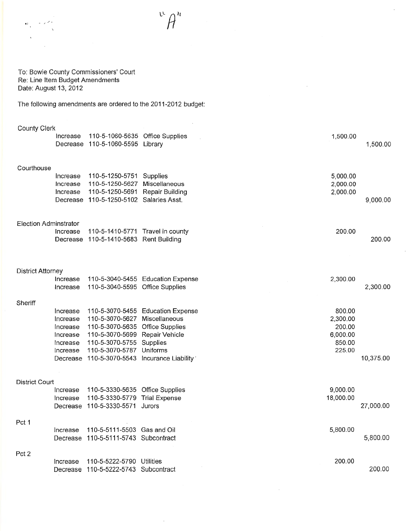$\ddot{\phantom{a}}$ 

 $\bar{z}$ 

#### To: Bowie County Commissioners' Court Re: Line Item Budget Amendments Date: August 13, 2012

The following amendments are ordered to the 2011-2012 budget:

| <b>County Clerk</b>      | Increase                                                             | 110-5-1060-5635 Office Supplies<br>Decrease 110-5-1060-5595 Library                                                                                        |                                                                                   | 1,500.00                                                     | 1,500.00  |
|--------------------------|----------------------------------------------------------------------|------------------------------------------------------------------------------------------------------------------------------------------------------------|-----------------------------------------------------------------------------------|--------------------------------------------------------------|-----------|
| Courthouse               | Increase<br>Increase<br>Increase                                     | 110-5-1250-5751 Supplies<br>110-5-1250-5627 Miscellaneous<br>110-5-1250-5691 Repair Building<br>Decrease 110-5-1250-5102 Salaries Asst.                    |                                                                                   | 5,000.00<br>2,000.00<br>2,000.00                             | 9,000.00  |
| Election Adminstrator    | Increase                                                             | 110-5-1410-5771 Travel in county<br>Decrease 110-5-1410-5683 Rent Building                                                                                 |                                                                                   | 200.00                                                       | 200.00    |
| <b>District Attorney</b> | Increase<br>Increase                                                 | 110-5-3040-5595 Office Supplies                                                                                                                            | 110-5-3040-5455 Education Expense                                                 | 2,300.00                                                     | 2,300.00  |
| Sheriff                  | Increase<br>Increase<br>Increase<br>Increase<br>Increase<br>Increase | 110-5-3070-5627 Miscellaneous<br>110-5-3070-5635 Office Supplies<br>110-5-3070-5699 Repair Vehicle<br>110-5-3070-5755 Supplies<br>110-5-3070-5787 Uniforms | 110-5-3070-5455 Education Expense<br>Decrease 110-5-3070-5543 Incurance Liability | 800.00<br>2,300.00<br>200.00<br>6,000.00<br>850.00<br>225.00 | 10,375.00 |
| <b>District Court</b>    | Increase<br>Increase                                                 | 110-5-3330-5635 Office Supplies<br>110-5-3330-5779 Trial Expense<br>Decrease 110-5-3330-5571 Jurors                                                        |                                                                                   | 9,000.00<br>18,000.00                                        | 27,000.00 |
| Pct 1                    | Increase                                                             | 110-5-5111-5503 Gas and Oil<br>Decrease 110-5-5111-5743 Subcontract                                                                                        |                                                                                   | 5,800.00                                                     | 5,800.00  |
| Pct 2                    | Increase                                                             | 110-5-5222-5790 Utilities<br>Decrease 110-5-5222-5743 Subcontract                                                                                          |                                                                                   | 200.00                                                       | 200.00    |

 $\hat{\mathcal{L}}$